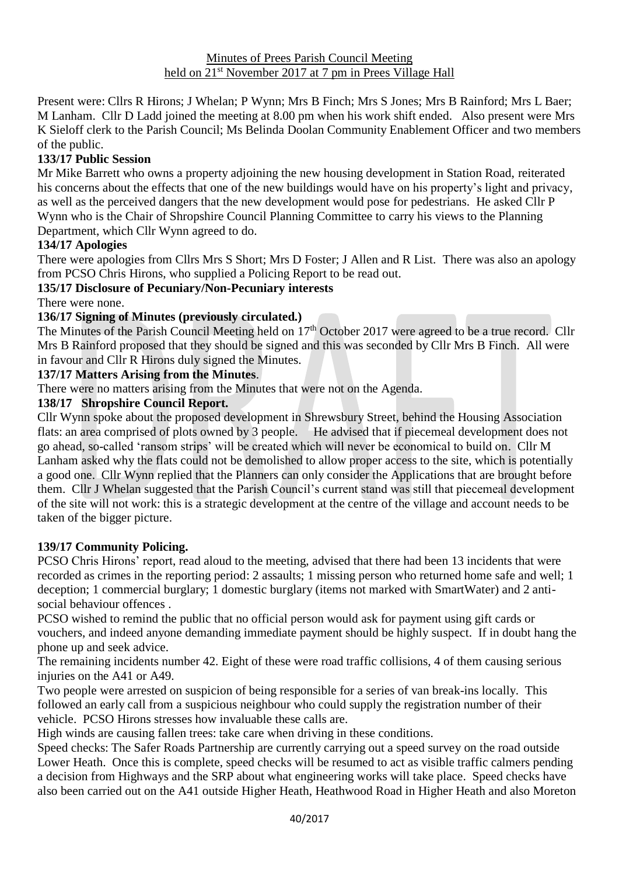Present were: Cllrs R Hirons; J Whelan; P Wynn; Mrs B Finch; Mrs S Jones; Mrs B Rainford; Mrs L Baer; M Lanham. Cllr D Ladd joined the meeting at 8.00 pm when his work shift ended. Also present were Mrs K Sieloff clerk to the Parish Council; Ms Belinda Doolan Community Enablement Officer and two members of the public.

## **133/17 Public Session**

Mr Mike Barrett who owns a property adjoining the new housing development in Station Road, reiterated his concerns about the effects that one of the new buildings would have on his property's light and privacy, as well as the perceived dangers that the new development would pose for pedestrians. He asked Cllr P Wynn who is the Chair of Shropshire Council Planning Committee to carry his views to the Planning Department, which Cllr Wynn agreed to do.

## **134/17 Apologies**

There were apologies from Cllrs Mrs S Short; Mrs D Foster; J Allen and R List. There was also an apology from PCSO Chris Hirons, who supplied a Policing Report to be read out.

# **135/17 Disclosure of Pecuniary/Non-Pecuniary interests**

There were none.

## **136/17 Signing of Minutes (previously circulated.)**

The Minutes of the Parish Council Meeting held on  $17<sup>th</sup>$  October 2017 were agreed to be a true record. Cllr Mrs B Rainford proposed that they should be signed and this was seconded by Cllr Mrs B Finch. All were in favour and Cllr R Hirons duly signed the Minutes.

## **137/17 Matters Arising from the Minutes**.

There were no matters arising from the Minutes that were not on the Agenda.

### **138/17 Shropshire Council Report.**

Cllr Wynn spoke about the proposed development in Shrewsbury Street, behind the Housing Association flats: an area comprised of plots owned by 3 people. He advised that if piecemeal development does not go ahead, so-called 'ransom strips' will be created which will never be economical to build on. Cllr M Lanham asked why the flats could not be demolished to allow proper access to the site, which is potentially a good one. Cllr Wynn replied that the Planners can only consider the Applications that are brought before them. Cllr J Whelan suggested that the Parish Council's current stand was still that piecemeal development of the site will not work: this is a strategic development at the centre of the village and account needs to be taken of the bigger picture.

### **139/17 Community Policing.**

PCSO Chris Hirons' report, read aloud to the meeting, advised that there had been 13 incidents that were recorded as crimes in the reporting period: 2 assaults; 1 missing person who returned home safe and well; 1 deception; 1 commercial burglary; 1 domestic burglary (items not marked with SmartWater) and 2 antisocial behaviour offences .

PCSO wished to remind the public that no official person would ask for payment using gift cards or vouchers, and indeed anyone demanding immediate payment should be highly suspect. If in doubt hang the phone up and seek advice.

The remaining incidents number 42. Eight of these were road traffic collisions, 4 of them causing serious injuries on the A41 or A49.

Two people were arrested on suspicion of being responsible for a series of van break-ins locally. This followed an early call from a suspicious neighbour who could supply the registration number of their vehicle. PCSO Hirons stresses how invaluable these calls are.

High winds are causing fallen trees: take care when driving in these conditions.

Speed checks: The Safer Roads Partnership are currently carrying out a speed survey on the road outside Lower Heath. Once this is complete, speed checks will be resumed to act as visible traffic calmers pending a decision from Highways and the SRP about what engineering works will take place. Speed checks have also been carried out on the A41 outside Higher Heath, Heathwood Road in Higher Heath and also Moreton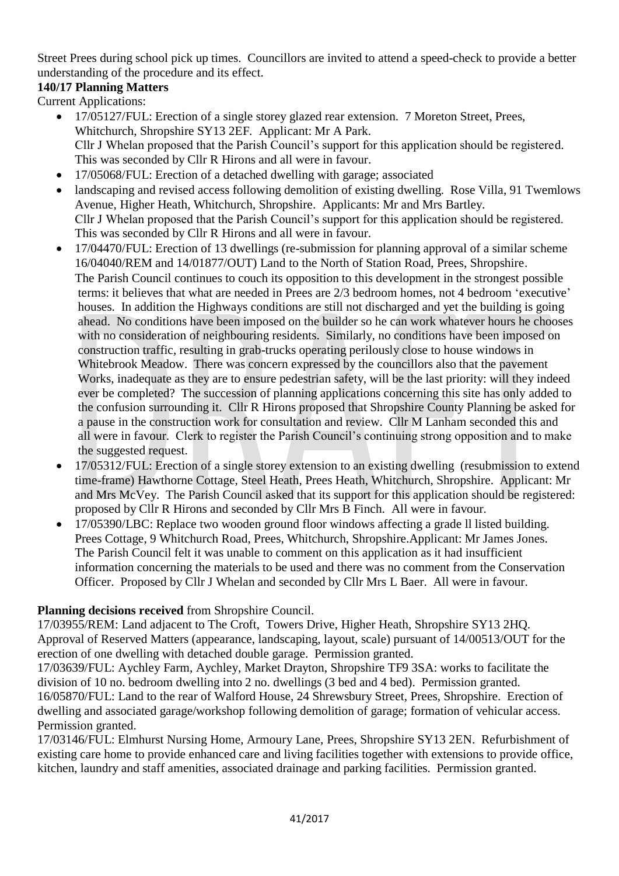Street Prees during school pick up times. Councillors are invited to attend a speed-check to provide a better understanding of the procedure and its effect.

# **140/17 Planning Matters**

Current Applications:

- 17/05127/FUL: Erection of a single storey glazed rear extension. 7 Moreton Street, Prees, Whitchurch, Shropshire SY13 2EF. Applicant: Mr A Park. Cllr J Whelan proposed that the Parish Council's support for this application should be registered. This was seconded by Cllr R Hirons and all were in favour.
- 17/05068/FUL: Erection of a detached dwelling with garage; associated
- landscaping and revised access following demolition of existing dwelling. Rose Villa, 91 Twemlows Avenue, Higher Heath, Whitchurch, Shropshire. Applicants: Mr and Mrs Bartley. Cllr J Whelan proposed that the Parish Council's support for this application should be registered. This was seconded by Cllr R Hirons and all were in favour.
- 17/04470/FUL: Erection of 13 dwellings (re-submission for planning approval of a similar scheme 16/04040/REM and 14/01877/OUT) Land to the North of Station Road, Prees, Shropshire. The Parish Council continues to couch its opposition to this development in the strongest possible terms: it believes that what are needed in Prees are 2/3 bedroom homes, not 4 bedroom 'executive' houses. In addition the Highways conditions are still not discharged and yet the building is going ahead. No conditions have been imposed on the builder so he can work whatever hours he chooses with no consideration of neighbouring residents. Similarly, no conditions have been imposed on construction traffic, resulting in grab-trucks operating perilously close to house windows in Whitebrook Meadow. There was concern expressed by the councillors also that the pavement Works, inadequate as they are to ensure pedestrian safety, will be the last priority: will they indeed ever be completed? The succession of planning applications concerning this site has only added to the confusion surrounding it. Cllr R Hirons proposed that Shropshire County Planning be asked for a pause in the construction work for consultation and review. Cllr M Lanham seconded this and all were in favour. Clerk to register the Parish Council's continuing strong opposition and to make the suggested request.
- 17/05312/FUL: Erection of a single storey extension to an existing dwelling (resubmission to extend time-frame) Hawthorne Cottage, Steel Heath, Prees Heath, Whitchurch, Shropshire. Applicant: Mr and Mrs McVey. The Parish Council asked that its support for this application should be registered: proposed by Cllr R Hirons and seconded by Cllr Mrs B Finch. All were in favour.
- 17/05390/LBC: Replace two wooden ground floor windows affecting a grade ll listed building. Prees Cottage, 9 Whitchurch Road, Prees, Whitchurch, Shropshire.Applicant: Mr James Jones. The Parish Council felt it was unable to comment on this application as it had insufficient information concerning the materials to be used and there was no comment from the Conservation Officer. Proposed by Cllr J Whelan and seconded by Cllr Mrs L Baer. All were in favour.

## **Planning decisions received** from Shropshire Council.

17/03955/REM: Land adjacent to The Croft, Towers Drive, Higher Heath, Shropshire SY13 2HQ. Approval of Reserved Matters (appearance, landscaping, layout, scale) pursuant of 14/00513/OUT for the erection of one dwelling with detached double garage. Permission granted.

17/03639/FUL: Aychley Farm, Aychley, Market Drayton, Shropshire TF9 3SA: works to facilitate the division of 10 no. bedroom dwelling into 2 no. dwellings (3 bed and 4 bed). Permission granted. 16/05870/FUL: Land to the rear of Walford House, 24 Shrewsbury Street, Prees, Shropshire. Erection of dwelling and associated garage/workshop following demolition of garage; formation of vehicular access. Permission granted.

17/03146/FUL: Elmhurst Nursing Home, Armoury Lane, Prees, Shropshire SY13 2EN. Refurbishment of existing care home to provide enhanced care and living facilities together with extensions to provide office, kitchen, laundry and staff amenities, associated drainage and parking facilities. Permission granted.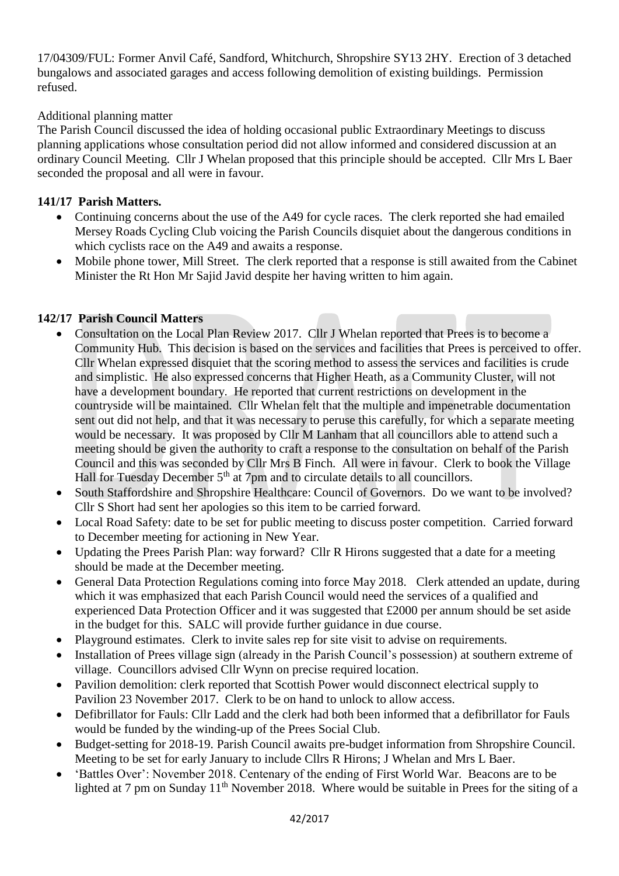17/04309/FUL: Former Anvil Café, Sandford, Whitchurch, Shropshire SY13 2HY. Erection of 3 detached bungalows and associated garages and access following demolition of existing buildings. Permission refused.

Additional planning matter

The Parish Council discussed the idea of holding occasional public Extraordinary Meetings to discuss planning applications whose consultation period did not allow informed and considered discussion at an ordinary Council Meeting. Cllr J Whelan proposed that this principle should be accepted. Cllr Mrs L Baer seconded the proposal and all were in favour.

## **141/17 Parish Matters.**

- Continuing concerns about the use of the A49 for cycle races. The clerk reported she had emailed Mersey Roads Cycling Club voicing the Parish Councils disquiet about the dangerous conditions in which cyclists race on the A49 and awaits a response.
- Mobile phone tower, Mill Street. The clerk reported that a response is still awaited from the Cabinet Minister the Rt Hon Mr Sajid Javid despite her having written to him again.

## **142/17 Parish Council Matters**

- Consultation on the Local Plan Review 2017. Cllr J Whelan reported that Prees is to become a Community Hub. This decision is based on the services and facilities that Prees is perceived to offer. Cllr Whelan expressed disquiet that the scoring method to assess the services and facilities is crude and simplistic. He also expressed concerns that Higher Heath, as a Community Cluster, will not have a development boundary. He reported that current restrictions on development in the countryside will be maintained. Cllr Whelan felt that the multiple and impenetrable documentation sent out did not help, and that it was necessary to peruse this carefully, for which a separate meeting would be necessary. It was proposed by Cllr M Lanham that all councillors able to attend such a meeting should be given the authority to craft a response to the consultation on behalf of the Parish Council and this was seconded by Cllr Mrs B Finch. All were in favour. Clerk to book the Village Hall for Tuesday December  $5<sup>th</sup>$  at 7pm and to circulate details to all councillors.
- South Staffordshire and Shropshire Healthcare: Council of Governors. Do we want to be involved? Cllr S Short had sent her apologies so this item to be carried forward.
- Local Road Safety: date to be set for public meeting to discuss poster competition. Carried forward to December meeting for actioning in New Year.
- Updating the Prees Parish Plan: way forward? Cllr R Hirons suggested that a date for a meeting should be made at the December meeting.
- General Data Protection Regulations coming into force May 2018. Clerk attended an update, during which it was emphasized that each Parish Council would need the services of a qualified and experienced Data Protection Officer and it was suggested that £2000 per annum should be set aside in the budget for this. SALC will provide further guidance in due course.
- Playground estimates. Clerk to invite sales rep for site visit to advise on requirements.
- Installation of Prees village sign (already in the Parish Council's possession) at southern extreme of village. Councillors advised Cllr Wynn on precise required location.
- Pavilion demolition: clerk reported that Scottish Power would disconnect electrical supply to Pavilion 23 November 2017. Clerk to be on hand to unlock to allow access.
- Defibrillator for Fauls: Cllr Ladd and the clerk had both been informed that a defibrillator for Fauls would be funded by the winding-up of the Prees Social Club.
- Budget-setting for 2018-19. Parish Council awaits pre-budget information from Shropshire Council. Meeting to be set for early January to include Cllrs R Hirons; J Whelan and Mrs L Baer.
- 'Battles Over': November 2018. Centenary of the ending of First World War. Beacons are to be lighted at 7 pm on Sunday  $11<sup>th</sup>$  November 2018. Where would be suitable in Prees for the siting of a